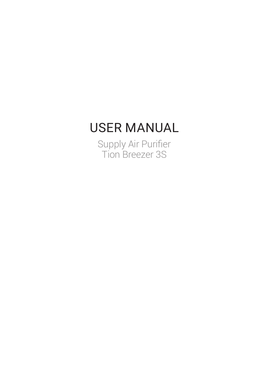# USER MANUAL

Supply Air Purifier Tion Breezer 3S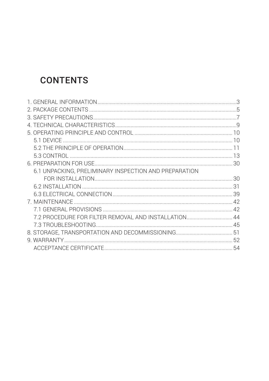## **CONTENTS**

| 6.1 UNPACKING, PRELIMINARY INSPECTION AND PREPARATION |  |
|-------------------------------------------------------|--|
|                                                       |  |
|                                                       |  |
|                                                       |  |
|                                                       |  |
|                                                       |  |
| 7.2 PROCEDURE FOR FILTER REMOVAL AND INSTALLATION 44  |  |
|                                                       |  |
|                                                       |  |
|                                                       |  |
|                                                       |  |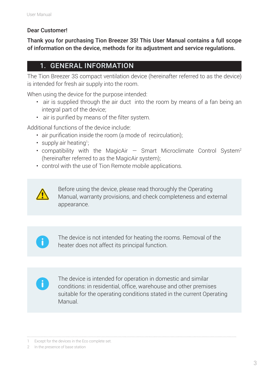#### Dear Customer!

Thank you for purchasing Tion Breezer 3S! This User Manual contains a full scope of information on the device, methods for its adjustment and service regulations.

## 1. GENERAL INFORMATION

The Tion Breezer 3S compact ventilation device (hereinafter referred to as the device) is intended for fresh air supply into the room.

When using the device for the purpose intended:

- air is supplied through the air duct into the room by means of a fan being an integral part of the device;
- air is purified by means of the filter system.

Additional functions of the device include:

- air purification inside the room (a mode of recirculation);
- supply air heating<sup>1</sup>;
- compatibility with the MagicAir  $-$  Smart Microclimate Control System<sup>2</sup> (hereinafter referred to as the MagicAir system);
- control with the use of Tion Remote mobile applications.



Before using the device, please read thoroughly the Operating Manual, warranty provisions, and check completeness and external appearance.



The device is not intended for heating the rooms. Removal of the heater does not affect its principal function.



The device is intended for operation in domestic and similar conditions: in residential, office, warehouse and other premises suitable for the operating conditions stated in the current Operating Manual.

1 Except for the devices in the Eco complete set.

<sup>2</sup> In the presence of base station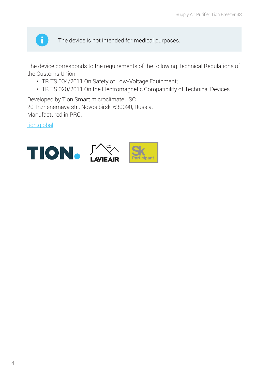

The device is not intended for medical purposes.

The device corresponds to the requirements of the following Technical Regulations of the Customs Union:

- TR TS 004/2011 On Safety of Low-Voltage Equipment;
- TR TS 020/2011 On the Electromagnetic Compatibility of Technical Devices.

Developed by Tion Smart microclimate JSC. 20, Inzhenernaya str., Novosibirsk, 630090, Russia. Manufactured in PRC.

tion.global

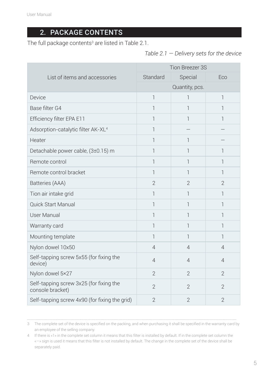## 2. PACKAGE CONTENTS

The full package contents $^{\rm 3}$  are listed in Table 2.1.

*Table 2.1 — Delivery sets for the device*

|                                                             | Tion Breezer 3S |                |                |
|-------------------------------------------------------------|-----------------|----------------|----------------|
| List of items and accessories                               | Standard        | Special        | Eco            |
|                                                             |                 | Quantity, pcs. |                |
| Device                                                      | $\mathbb{1}$    | 1              | 1              |
| Base filter G4                                              | 1               | 1              | 1              |
| Efficiency filter EPA E11                                   | 1               | 1              | 1              |
| Adsorption-catalytic filter AK-XL <sup>4</sup>              | 1               |                |                |
| Heater                                                      | 1               | 1              |                |
| Detachable power cable, (3±0.15) m                          | 1               | 1              | ı              |
| Remote control                                              | 1               | 1              | 1              |
| Remote control bracket                                      | 1               | 1              | 1              |
| Batteries (AAA)                                             | $\overline{2}$  | $\overline{2}$ | $\overline{2}$ |
| Tion air intake grid                                        | 1               | 1              | 1              |
| <b>Quick Start Manual</b>                                   | 1               | 1              | 1              |
| <b>User Manual</b>                                          | 1               | 1              | 1              |
| Warranty card                                               | 1               | 1              | 1              |
| Mounting template                                           | 1               | 1              | 1              |
| Nylon dowel 10x50                                           | $\overline{4}$  | $\overline{4}$ | 4              |
| Self-tapping screw 5x55 (for fixing the<br>device)          | $\overline{4}$  | $\overline{4}$ | 4              |
| Nylon dowel 5×27                                            | $\overline{2}$  | $\overline{2}$ | $\overline{2}$ |
| Self-tapping screw 3x25 (for fixing the<br>console bracket) | $\overline{2}$  | $\overline{2}$ | $\overline{2}$ |
| Self-tapping screw 4x90 (for fixing the grid)               | $\overline{2}$  | $\overline{2}$ | $\overline{2}$ |

3 The complete set of the device is specified on the packing, and when purchasing it shall be specified in the warranty card by an employee of the selling company.

4 If there is «1» in the complete set column it means that this filter is installed by default. If in the complete set column the «—» sign is used it means that this filter is not installed by default. The change in the complete set of the device shall be separately paid.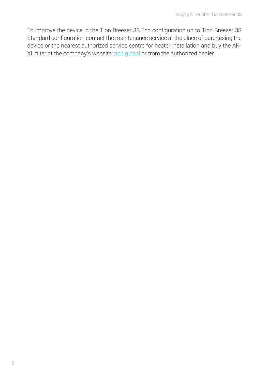To improve the device in the Tion Breezer 3S Eco configuration up to Tion Breezer 3S Standard configuration contact the maintenance service at the place of purchasing the device or the nearest authorized service centre for heater installation and buy the AK-XL filter at the company's website: tion.global or from the authorized dealer.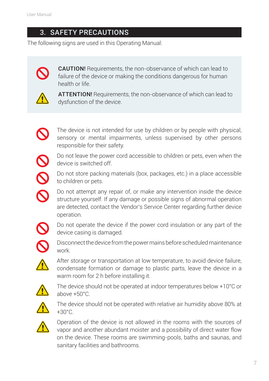## 3. SAFETY PRECAUTIONS

The following signs are used in this Operating Manual:



CAUTION! Requirements, the non-observance of which can lead to failure of the device or making the conditions dangerous for human health or life.



**ATTENTION!** Requirements, the non-observance of which can lead to dysfunction of the device.



The device is not intended for use by children or by people with physical, sensory or mental impairments, unless supervised by other persons responsible for their safety.

Do not leave the power cord accessible to children or pets, even when the device is switched off.



 $\boldsymbol{\mathcal{S}}$ 

Do not store packing materials (box, packages, etc.) in a place accessible to children or pets.

Do not attempt any repair of, or make any intervention inside the device structure yourself. If any damage or possible signs of abnormal operation are detected, contact the Vendor's Service Center regarding further device operation.



Do not operate the device if the power cord insulation or any part of the device casing is damaged.



Disconnect the device from the power mains before scheduled maintenance work.



After storage or transportation at low temperature, to avoid device failure, condensate formation or damage to plastic parts, leave the device in a warm room for 2 h before installing it.



The device should not be operated at indoor temperatures below +10°С or above +50°С.



The device should not be operated with relative air humidity above 80% at +30°С.



Operation of the device is not allowed in the rooms with the sources of vapor and another abundant moister and a possibility of direct water flow on the device. These rooms are swimming-pools, baths and saunas, and sanitary facilities and bathrooms.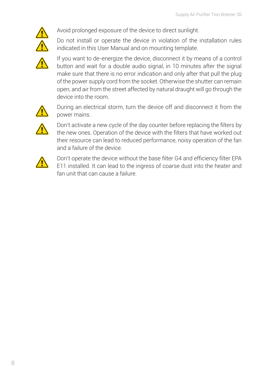

Avoid prolonged exposure of the device to direct sunlight.

Do not install or operate the device in violation of the installation rules indicated in this User Manual and on mounting template.



If you want to de-energize the device, disconnect it by means of a control button and wait for a double audio signal, in 10 minutes after the signal make sure that there is no error indication and only after that pull the plug of the power supply cord from the socket. Otherwise the shutter can remain open, and air from the street affected by natural draught will go through the device into the room.



During an electrical storm, turn the device off and disconnect it from the power mains.



Don't activate a new cycle of the day counter before replacing the filters by the new ones. Operation of the device with the filters that have worked out their resource can lead to reduced performance, noisy operation of the fan and a failure of the device.



Don't operate the device without the base filter G4 and efficiency filter EPA E11 installed. It can lead to the ingress of coarse dust into the heater and fan unit that can cause a failure.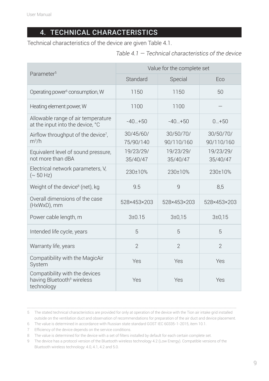## 4. TECHNICAL CHARACTERISTICS

Technical characteristics of the device are given Table 4.1.

*Table 4.1 — Technical characteristics of the device*

| Parameter <sup>5</sup>                                                                 | Value for the complete set |                         |                         |  |
|----------------------------------------------------------------------------------------|----------------------------|-------------------------|-------------------------|--|
|                                                                                        | Standard                   | Special                 | Eco                     |  |
| Operating power <sup>6</sup> consumption, W                                            | 1150                       | 1150                    | 50                      |  |
| Heating element power, W                                                               | 1100                       | 1100                    |                         |  |
| Allowable range of air temperature<br>at the input into the device, °C                 | $-40+50$                   | $-40+50$                | $0.1 + 50$              |  |
| Airflow throughput of the device <sup>7</sup> ,<br>$m^3/h$                             | 30/45/60/<br>75/90/140     | 30/50/70/<br>90/110/160 | 30/50/70/<br>90/110/160 |  |
| Equivalent level of sound pressure,<br>not more than dBA                               | 19/23/29/<br>35/40/47      | 19/23/29/<br>35/40/47   | 19/23/29/<br>35/40/47   |  |
| Electrical network parameters, V,<br>$({\sim} 50 \text{ Hz})$                          | $230+10%$                  | 230+10%                 | 230+10%                 |  |
| Weight of the device <sup>8</sup> (net), kg                                            | 9.5                        | $\overline{9}$          | 8,5                     |  |
| Overall dimensions of the case<br>(HxWxD), mm                                          | 528×453×203                | 528×453×203             | 528×453×203             |  |
| Power cable length, m                                                                  | $3+0.15$                   | $3 + 0.15$              | $3 + 0.15$              |  |
| Intended life cycle, years                                                             | 5                          | 5                       | 5                       |  |
| Warranty life, years                                                                   | $\overline{2}$             | $\overline{2}$          | $\overline{2}$          |  |
| Compatibility with the MagicAir<br>System                                              | Yes                        | Yes                     | Yes                     |  |
| Compatibility with the devices<br>having Bluetooth <sup>9</sup> wireless<br>technology | Yes                        | Yes                     | Yes                     |  |

<sup>5</sup> The stated technical characteristics are provided for only at operation of the device with the Tion air intake grid installed outside on the ventilation duct and observation of recommendations for preparation of the air duct and device placement.

<sup>6</sup> The value is determined in accordance with Russian state standard GOST IEC 60335-1-2015, item 10.1.

<sup>7</sup> Efficiency of the device depends on the service conditions.

<sup>8</sup> The value is determined for the device with a set of filters installed by default for each certain complete set.

<sup>9</sup> The device has a protocol version of the Bluetooth wireless technology 4.2 (Low Energy). Compatible versions of the Bluetooth wireless technology: 4.0, 4.1, 4.2 and 5.0.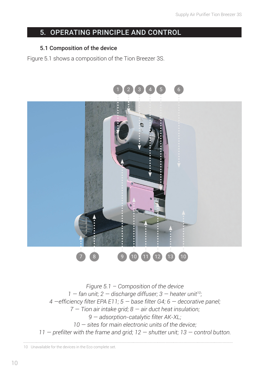## 5. OPERATING PRINCIPLE AND CONTROL

#### 5.1 Composition of the device

Figure 5.1 shows a composition of the Tion Breezer 3S.



*Figure 5.1 – Composition of the device 1 — fan unit; 2 — discharge diffuser; 3 — heater unit10; 4 —efficiency filter EPA E11; 5 — base filter G4; 6 — decorative panel; 7 — Tion air intake grid; 8 — air duct heat insulation; 9 — adsorption-catalytic filter AK-XL; 10 — sites for main electronic units of the device; 11 — prefilter with the frame and grid; 12 — shutter unit; 13 — control button.*

10 Unavailable for the devices in the Eco complete set.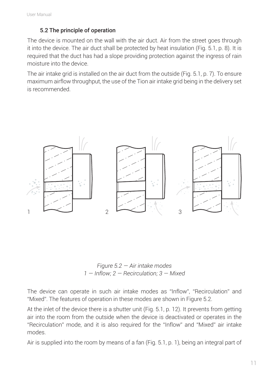#### 5.2 The principle of operation

The device is mounted on the wall with the air duct. Air from the street goes through it into the device. The air duct shall be protected by heat insulation (Fig. 5.1, p. 8). It is required that the duct has had a slope providing protection against the ingress of rain moisture into the device.

The air intake grid is installed on the air duct from the outside (Fig. 5.1, p. 7). To ensure maximum airflow throughput, the use of the Tion air intake grid being in the delivery set is recommended.



*Figure 5.2 — Air intake modes 1 — Inflow; 2 — Recirculation; 3 — Mixed*

The device can operate in such air intake modes as "Inflow", "Recirculation" and "Mixed". The features of operation in these modes are shown in Figure 5.2.

At the inlet of the device there is a shutter unit (Fig. 5.1, p. 12). It prevents from getting air into the room from the outside when the device is deactivated or operates in the "Recirculation" mode, and it is also required for the "Inflow" and "Mixed" air intake modes.

Air is supplied into the room by means of a fan (Fig. 5.1, p. 1), being an integral part of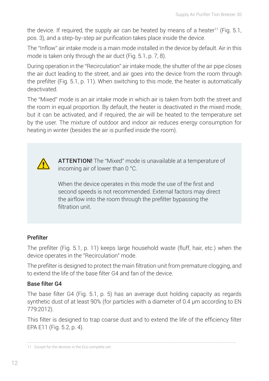the device. If required, the supply air can be heated by means of a heater<sup>11</sup> (Fig. 5.1, pos. 3), and a step-by-step air purification takes place inside the device.

The "Inflow" air intake mode is a main mode installed in the device by default. Air in this mode is taken only through the air duct (Fig. 5.1, p. 7, 8).

During operation in the "Recirculation" air intake mode, the shutter of the air pipe closes the air duct leading to the street, and air goes into the device from the room through the prefilter (Fig. 5.1, p. 11). When switching to this mode, the heater is automatically deactivated.

The "Mixed" mode is an air intake mode in which air is taken from both the street and the room in equal proportion. By default, the heater is deactivated in the mixed mode, but it can be activated, and if required, the air will be heated to the temperature set by the user. The mixture of outdoor and indoor air reduces energy consumption for heating in winter (besides the air is purified inside the room).



ATTENTION! The "Mixed" mode is unavailable at a temperature of incoming air of lower than 0 °С.

When the device operates in this mode the use of the first and second speeds is not recommended. External factors may direct the airflow into the room through the prefilter bypassing the filtration unit

#### Prefilter

The prefilter (Fig. 5.1, p. 11) keeps large household waste (fluff, hair, etc.) when the device operates in the "Recirculation" mode.

The prefilter is designed to protect the main filtration unit from premature clogging, and to extend the life of the base filter G4 and fan of the device.

#### Base filter G4

The base filter G4 (Fig. 5.1, p. 5) has an average dust holding capacity as regards synthetic dust of at least 90% (for particles with a diameter of 0.4 μm according to EN 779:2012).

This filter is designed to trap coarse dust and to extend the life of the efficiency filter EPA Е11 (Fig. 5.2, p. 4).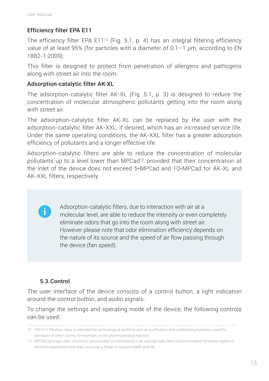#### Efficiency filter EPA Е11

The efficiency filter EPA E11<sup>12</sup> (Fig. 5.1, p. 4) has an integral filtering efficiency value of at least 95% (for particles with a diameter of  $0.1-1$  µm, according to EN 1882-1:2009).

This filter is designed to protect from penetration of allergens and pathogens along with street air into the room.

#### Adsorption-catalytic filter АК-XL

The adsorption-catalytic filter АК-XL (Fig. 5.1, p. 3) is designed to reduce the concentration of molecular atmospheric pollutants getting into the room along with street air.

The adsorption-catalytic filter АК-XL can be replaced by the user with the adsorption-catalytic filter АК-XXL, if desired, which has an increased service life. Under the same operating conditions, the AK-XXL filter has a greater adsorption efficiency of pollutants and a longer effective life.

Adsorption-catalytic filters are able to reduce the concentration of molecular pollutants up to a level lower than MPCad13, provided that their concentration at the inlet of the device does not exceed 5\*MPCad and 10\*MPCad for AK-XL and AK-XXL filters, respectively.

> Adsorption-catalytic filters, due to interaction with air at a molecular level, are able to reduce the intensity or even completely eliminate odors that go into the room along with street air. However please note that odor elimination efficiency depends on the nature of its source and the speed of air flow passing through the device (fan speed).

#### 5.3.Control

The user interface of the device consists of a control button, a light indication around the control button, and audio signals.

To change the settings and operating mode of the device, the following controls can be used:

<sup>12</sup> The E11 filtration class is intended for technological systems and air purification and conditioning systems used for provision of clean rooms, for example, in the pharmaceutical industry

<sup>13</sup> MPCad (average daily maximum permissible concentration) is an average daily level of concentration of certain types of harmful substances that does not pose a threat to human health and life.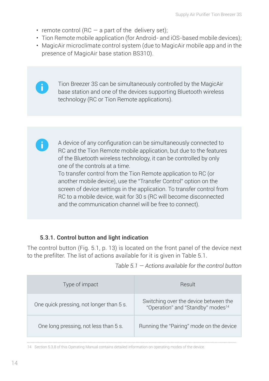• remote control (RC  $-$  a part of the delivery set);

 $\mathbf{d}$ 

 $\ddot{\phantom{a}}$ 

- Tion Remote mobile application (for Android- and iOS-based mobile devices);
- MagicAir microclimate control system (due to MagicAir mobile app and in the presence of MagicAir base station BS310).

Tion Breezer 3S can be simultaneously controlled by the MagicAir base station and one of the devices supporting Bluetooth wireless technology (RC or Tion Remote applications).

A device of any configuration can be simultaneously connected to RC and the Tion Remote mobile application, but due to the features of the Bluetooth wireless technology, it can be controlled by only one of the controls at a time.

To transfer control from the Tion Remote application to RC (or another mobile device), use the "Transfer Control" option on the screen of device settings in the application. To transfer control from RC to a mobile device, wait for 30 s (RC will become disconnected and the communication channel will be free to connect).

#### 5.3.1. Control button and light indication

The control button (Fig. 5.1, p. 13) is located on the front panel of the device next to the prefilter. The list of actions available for it is given in Table 5.1.

| Type of impact                           | Result                                                                                 |
|------------------------------------------|----------------------------------------------------------------------------------------|
| One quick pressing, not longer than 5 s. | Switching over the device between the<br>"Operation" and "Standby" modes <sup>14</sup> |
| One long pressing, not less than 5 s.    | Running the "Pairing" mode on the device                                               |

*Table 5.1 — Actions available for the control button*

14 Section 5.3.8 of this Operating Manual contains detailed information on operating modes of the device.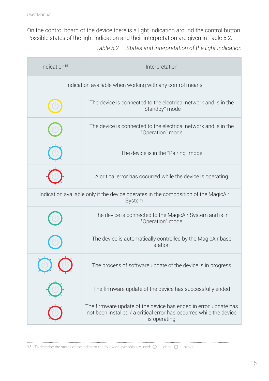On the control board of the device there is a light indication around the control button. Possible states of the light indication and their interpretation are given in Table 5.2.

*Table 5.2 — States and interpretation of the light indication*

| Indication <sup>15</sup>                                                                      | Interpretation                                                                                                                                          |  |
|-----------------------------------------------------------------------------------------------|---------------------------------------------------------------------------------------------------------------------------------------------------------|--|
| Indication available when working with any control means                                      |                                                                                                                                                         |  |
|                                                                                               | The device is connected to the electrical network and is in the<br>"Standby" mode                                                                       |  |
|                                                                                               | The device is connected to the electrical network and is in the<br>"Operation" mode                                                                     |  |
|                                                                                               | The device is in the "Pairing" mode                                                                                                                     |  |
|                                                                                               | A critical error has occurred while the device is operating                                                                                             |  |
| Indication available only if the device operates in the composition of the MagicAir<br>System |                                                                                                                                                         |  |
|                                                                                               | The device is connected to the MagicAir System and is in<br>"Operation" mode                                                                            |  |
|                                                                                               | The device is automatically controlled by the MagicAir base<br>station                                                                                  |  |
|                                                                                               | The process of software update of the device is in progress                                                                                             |  |
|                                                                                               | The firmware update of the device has successfully ended                                                                                                |  |
|                                                                                               | The firmware update of the device has ended in error: update has<br>not been installed / a critical error has occurred while the device<br>is operating |  |

15 To describe the states of the indicator the following symbols are used:  $O$  – lights;  $O$  – blinks.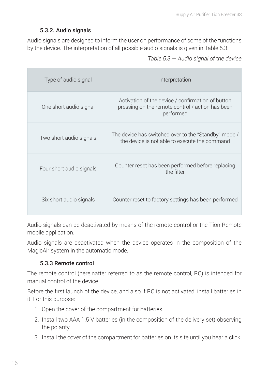#### 5.3.2. Audio signals

Audio signals are designed to inform the user on performance of some of the functions by the device. The interpretation of all possible audio signals is given in Table 5.3.

*Table 5.3 — Audio signal of the device*

| Type of audio signal     | Interpretation                                                                                                     |
|--------------------------|--------------------------------------------------------------------------------------------------------------------|
| One short audio signal   | Activation of the device / confirmation of button<br>pressing on the remote control / action has been<br>performed |
| Two short audio signals  | The device has switched over to the "Standby" mode /<br>the device is not able to execute the command              |
| Four short audio signals | Counter reset has been performed before replacing<br>the filter                                                    |
| Six short audio signals  | Counter reset to factory settings has been performed                                                               |

Audio signals can be deactivated by means of the remote control or the Tion Remote mobile application.

Audio signals are deactivated when the device operates in the composition of the MagicAir system in the automatic mode.

#### 5.3.3 Remote control

The remote control (hereinafter referred to as the remote control, RC) is intended for manual control of the device.

Before the first launch of the device, and also if RC is not activated, install batteries in it. For this purpose:

- 1. Open the cover of the compartment for batteries
- 2. Install two AAA 1.5 V batteries (in the composition of the delivery set) observing the polarity
- 3. Install the cover of the compartment for batteries on its site until you hear a click.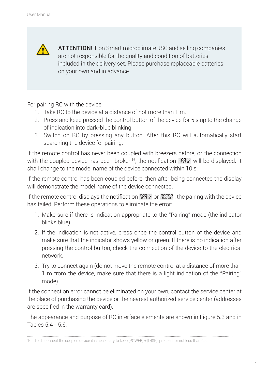ATTENTION! Tion Smart microclimate JSC and selling companies are not responsible for the quality and condition of batteries included in the delivery set. Please purchase replaceable batteries on your own and in advance.

For pairing RC with the device:

- 1. Take RC to the device at a distance of not more than 1 m.
- 2. Press and keep pressed the control button of the device for 5 s up to the change of indication into dark-blue blinking.
- 3. Switch on RC by pressing any button. After this RC will automatically start searching the device for pairing.

If the remote control has never been coupled with breezers before, or the connection with the coupled device has been broken<sup>16</sup>, the notification  $\Box$ PRIF will be displayed. It shall change to the model name of the device connected within 10 s.

If the remote control has been coupled before, then after being connected the display will demonstrate the model name of the device connected.

If the remote control displays the notification  $RPR + \sigma RBB$ , the pairing with the device has failed. Perform these operations to eliminate the error:

- 1. Make sure if there is indication appropriate to the "Pairing" mode (the indicator blinks blue).
- 2. If the indication is not active, press once the control button of the device and make sure that the indicator shows yellow or green. If there is no indication after pressing the control button, check the connection of the device to the electrical network.
- 3. Try to connect again (do not move the remote control at a distance of more than 1 m from the device, make sure that there is a light indication of the "Pairing" mode).

If the connection error cannot be eliminated on your own, contact the service center at the place of purchasing the device or the nearest authorized service center (addresses are specified in the warranty card).

The appearance and purpose of RC interface elements are shown in Figure 5.3 and in Tables 5.4 - 5.6.

<sup>16</sup> To disconnect the coupled device it is necessary to keep [POWER] + [DISP] pressed for not less than 5 s.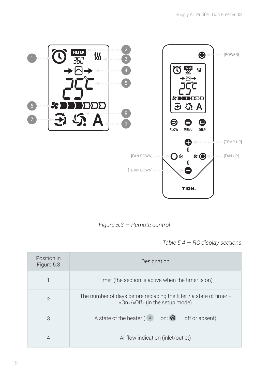

*Figure 5.3 — Remote control*

*Table 5.4 — RC display sections*

| Position in<br>Figure 5.3 | <b>Designation</b>                                                                                    |  |
|---------------------------|-------------------------------------------------------------------------------------------------------|--|
|                           | Timer (the section is active when the timer is on)                                                    |  |
| $\mathcal{P}$             | The number of days before replacing the filter / a state of timer -<br>«On»/«Off» (in the setup mode) |  |
| 3                         | A state of the heater ( $W - on$ ; $W - off$ or absent)                                               |  |
|                           | Airflow indication (inlet/outlet)                                                                     |  |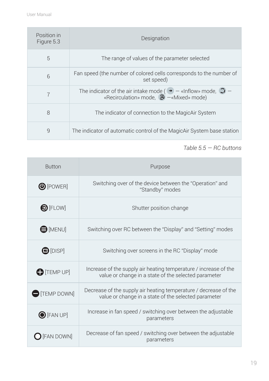| Position in<br>Figure 5.3 | Designation                                                                                                                            |  |
|---------------------------|----------------------------------------------------------------------------------------------------------------------------------------|--|
| 5                         | The range of values of the parameter selected                                                                                          |  |
| 6                         | Fan speed (the number of colored cells corresponds to the number of<br>set speed)                                                      |  |
| 7                         | The indicator of the air intake mode ( $\rightarrow -$ «Inflow» mode, $\odot -$<br>«Recirculation» mode, $\mathfrak{D}$ -«Mixed» mode) |  |
| 8                         | The indicator of connection to the MagicAir System                                                                                     |  |
| 9                         | The indicator of automatic control of the MagicAir System base station                                                                 |  |

*Table 5.5 — RC buttons* 

| <b>Button</b>         | Purpose                                                                                                                  |
|-----------------------|--------------------------------------------------------------------------------------------------------------------------|
| $\bigcirc$ [POWER]    | Switching over of the device between the "Operation" and<br>"Standby" modes                                              |
| $\bigcirc$ [FLOW]     | Shutter position change                                                                                                  |
| $\bigoplus$ [MENU]    | Switching over RC between the "Display" and "Setting" modes                                                              |
| $\bigcirc$ [DISP]     | Switching over screens in the RC "Display" mode                                                                          |
| $\bigoplus$ [TEMP UP] | Increase of the supply air heating temperature / increase of the<br>value or change in a state of the selected parameter |
| <b>TEMP DOWN</b>      | Decrease of the supply air heating temperature / decrease of the<br>value or change in a state of the selected parameter |
| $\bigcirc$ [FAN UP]   | Increase in fan speed / switching over between the adjustable<br>parameters                                              |
| [FAN DOWN]            | Decrease of fan speed / switching over between the adjustable<br>parameters                                              |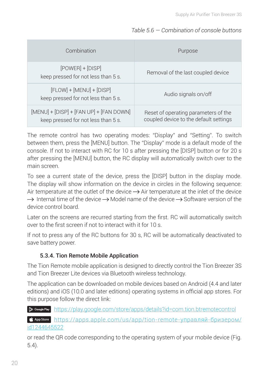#### *Table 5.6 — Combination of console buttons*

| Combination                                                                    | Purpose                                                                        |
|--------------------------------------------------------------------------------|--------------------------------------------------------------------------------|
| $[POWER] + [DISP]$<br>keep pressed for not less than 5 s.                      | Removal of the last coupled device                                             |
| $[FLOW] + [MENU] + [DISP]$<br>keep pressed for not less than 5 s.              | Audio signals on/off                                                           |
| [MENU] + [DISP] + [FAN UP] + [FAN DOWN]<br>keep pressed for not less than 5 s. | Reset of operating parameters of the<br>coupled device to the default settings |

The remote control has two operating modes: "Display" and "Setting". To switch between them, press the [MENU] button. The "Display" mode is a default mode of the console. If not to interact with RC for 10 s after pressing the [DISP] button or for 20 s after pressing the [MENU] button, the RC display will automatically switch over to the main screen.

To see a current state of the device, press the [DISP] button in the display mode. The display will show information on the device in circles in the following sequence: Air temperature at the outlet of the device  $\rightarrow$  Air temperature at the inlet of the device  $\rightarrow$  Internal time of the device  $\rightarrow$  Model name of the device  $\rightarrow$  Software version of the device control board.

Later on the screens are recurred starting from the first. RC will automatically switch over to the first screen if not to interact with it for 10 s.

If not to press any of the RC buttons for 30 s, RC will be automatically deactivated to save battery power.

#### 5.3.4. Tion Remote Mobile Application

The Tion Remote mobile application is designed to directly control the Tion Breezer 3S and Tion Breezer Lite devices via Bluetooth wireless technology.

The application can be downloaded on mobile devices based on Android (4.4 and later editions) and iOS (10.0 and later editions) operating systems in official app stores. For this purpose follow the direct link:

https://play.google.com/store/apps/details?id=com.tion.btremotecontrol

 $\epsilon$  Appstore https://apps.apple.com/us/app/tion-remote-управляй-бризером/ id1244645522

or read the QR code corresponding to the operating system of your mobile device (Fig. 5.4).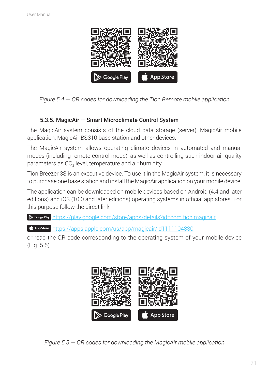

*Figure 5.4 — QR codes for downloading the Tion Remote mobile application*

#### 5.3.5. MagicAir — Smart Microclimate Control System

The MagicAir system consists of the cloud data storage (server), MagicAir mobile application, MagicAir BS310 base station and other devices.

The MagicAir system allows operating climate devices in automated and manual modes (including remote control mode), as well as controlling such indoor air quality parameters as  $CO<sub>2</sub>$  level, temperature and air humidity.

Tion Breezer 3S is an executive device. To use it in the MagicAir system, it is necessary to purchase one base station and install the MagicAir application on your mobile device.

The application can be downloaded on mobile devices based on Android (4.4 and later editions) and iOS (10.0 and later editions) operating systems in official app stores. For this purpose follow the direct link:

https://play.google.com/store/apps/details?id=com.tion.magicair

 $\bullet$  App store https://apps.apple.com/us/app/magicair/id1111104830

or read the QR code corresponding to the operating system of your mobile device (Fig. 5.5).



*Figure 5.5 — QR codes for downloading the MagicAir mobile application*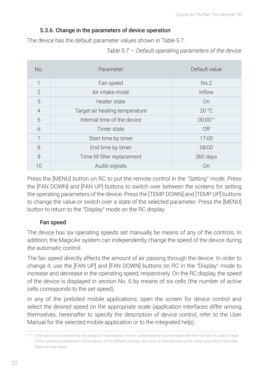#### 5.3.6. Change in the parameters of device operation

The device has the default parameter values shown in Table 5.7.

*Table 5.7 — Default operating parameters of the device*

| No.            | Parameter                      | Default value |
|----------------|--------------------------------|---------------|
| 1              | Fan speed                      | No.2          |
| $\overline{2}$ | Air intake mode                | Inflow        |
| 3              | Heater state                   | On            |
| $\overline{4}$ | Target air heating temperature | 20 °C         |
| 5              | Internal time of the device    | $00:00^{17}$  |
| 6              | Timer state                    | Off           |
| $\overline{7}$ | Start time by timer            | 17:00         |
| 8              | End time by timer              | 08:00         |
| 9              | Time till filter replacement   | 360 days      |
| 10             | Audio signals                  | On            |

Press the [MENU] button on RC to put the remote control in the "Setting" mode. Press the [FAN DOWN] and [FAN UP] buttons to switch over between the screens for setting the operating parameters of the device. Press the [TEMP DOWN] and [TEMP UP] buttons to change the value or switch over a state of the selected parameter. Press the [MENU] button to return to the "Display" mode on the RC display.

#### Fan speed

The device has six operating speeds set manually be means of any of the controls. In addition, the MagicAir system can independently change the speed of the device during the automatic control.

The fan speed directly affects the amount of air passing through the device. In order to change it, use the [FAN UP] and [FAN DOWN] buttons on RC in the "Display" mode to increase and decrease in the operating speed, respectively. On the RC display, the speed of the device is displayed in section No. 6 by means of six cells (the number of active cells corresponds to the set speed).

In any of the prelisted mobile applications, open the screen for device control and select the desired speed on the appropriate scale (application interfaces differ among themselves, hereinafter to specify the description of device control, refer to the User Manual for the selected mobile application or to the integrated help).

<sup>17</sup> If the device is controlled by the MagicAir base station, time is automatically synchronized with the real one. In case of reset of the operating parameters of the device to the default settings, the reset of internal time to the value specified in the table does not take place.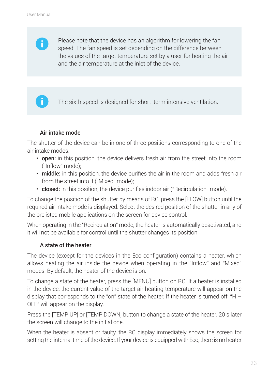

Please note that the device has an algorithm for lowering the fan speed. The fan speed is set depending on the difference between the values of the target temperature set by a user for heating the air and the air temperature at the inlet of the device.



The sixth speed is designed for short-term intensive ventilation.

#### Air intake mode

The shutter of the device can be in one of three positions corresponding to one of the air intake modes:

- open: in this position, the device delivers fresh air from the street into the room ("Inflow" mode);
- middle: in this position, the device purifies the air in the room and adds fresh air from the street into it ("Mixed" mode);
- closed: in this position, the device purifies indoor air ("Recirculation" mode).

To change the position of the shutter by means of RC, press the [FLOW] button until the required air intake mode is displayed. Select the desired position of the shutter in any of the prelisted mobile applications on the screen for device control.

When operating in the "Recirculation" mode, the heater is automatically deactivated, and it will not be available for control until the shutter changes its position.

#### A state of the heater

The device (except for the devices in the Eco configuration) contains a heater, which allows heating the air inside the device when operating in the "Inflow" and "Mixed" modes. By default, the heater of the device is on.

To change a state of the heater, press the [MENU] button on RC. If a heater is installed in the device, the current value of the target air heating temperature will appear on the display that corresponds to the "on" state of the heater. If the heater is turned off, "H  $-$ OFF" will appear on the display.

Press the [TEMP UP] or [TEMP DOWN] button to change a state of the heater. 20 s later the screen will change to the initial one.

When the heater is absent or faulty, the RC display immediately shows the screen for setting the internal time of the device. If your device is equipped with Eco, there is no heater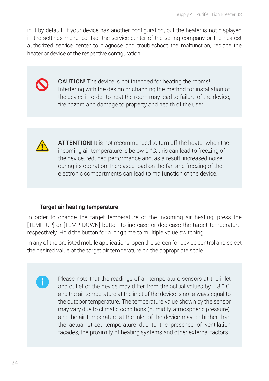in it by default. If your device has another configuration, but the heater is not displayed in the settings menu, contact the service center of the selling company or the nearest authorized service center to diagnose and troubleshoot the malfunction, replace the heater or device of the respective configuration.



CAUTION! The device is not intended for heating the rooms! Interfering with the design or changing the method for installation of the device in order to heat the room may lead to failure of the device, fire hazard and damage to property and health of the user.



 $\ddot{\phantom{a}}$ 

ATTENTION! It is not recommended to turn off the heater when the incoming air temperature is below 0 °C, this can lead to freezing of the device, reduced performance and, as a result, increased noise during its operation. Increased load on the fan and freezing of the electronic compartments can lead to malfunction of the device.

#### Target air heating temperature

In order to change the target temperature of the incoming air heating, press the [TEMP UP] or [TEMP DOWN] button to increase or decrease the target temperature, respectively. Hold the button for a long time to multiple value switching.

In any of the prelisted mobile applications, open the screen for device control and select the desired value of the target air temperature on the appropriate scale.

> Please note that the readings of air temperature sensors at the inlet and outlet of the device may differ from the actual values by  $\pm$  3  $\degree$  C, and the air temperature at the inlet of the device is not always equal to the outdoor temperature. The temperature value shown by the sensor may vary due to climatic conditions (humidity, atmospheric pressure), and the air temperature at the inlet of the device may be higher than the actual street temperature due to the presence of ventilation facades, the proximity of heating systems and other external factors.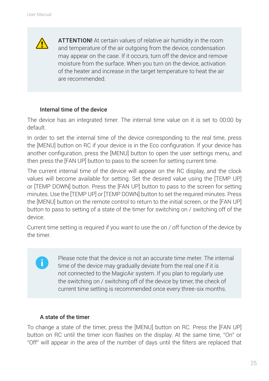**ATTENTION!** At certain values of relative air humidity in the room and temperature of the air outgoing from the device, condensation may appear on the case. If it occurs, turn off the device and remove moisture from the surface. When you turn on the device, activation of the heater and increase in the target temperature to heat the air are recommended.

#### Internal time of the device

The device has an integrated timer. The internal time value on it is set to 00:00 by default.

In order to set the internal time of the device corresponding to the real time, press the [MENU] button on RC if your device is in the Eco configuration. If your device has another configuration, press the [MENU] button to open the user settings menu, and then press the [FAN UP] button to pass to the screen for setting current time.

The current internal time of the device will appear on the RC display, and the clock values will become available for setting. Set the desired value using the [TEMP UP] or [TEMP DOWN] button. Press the [FAN UP] button to pass to the screen for setting minutes. Use the [TEMP UP] or [TEMP DOWN] button to set the required minutes. Press the [MENU] button on the remote control to return to the initial screen, or the [FAN UP] button to pass to setting of a state of the timer for switching on / switching off of the device.

Current time setting is required if you want to use the on / off function of the device by the timer.

> Please note that the device is not an accurate time meter. The internal time of the device may gradually deviate from the real one if it is not connected to the MagicAir system. If you plan to regularly use the switching on / switching off of the device by timer, the check of current time setting is recommended once every three-six months.

#### A state of the timer

 $\mathbf{a}$ 

To change a state of the timer, press the [MENU] button on RC. Press the [FAN UP] button on RC until the timer icon flashes on the display. At the same time, "On" or "Off" will appear in the area of the number of days until the filters are replaced that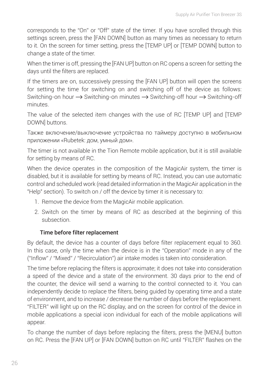corresponds to the "On" or "Off" state of the timer. If you have scrolled through this settings screen, press the [FAN DOWN] button as many times as necessary to return to it. On the screen for timer setting, press the [TEMP UP] or [TEMP DOWN] button to change a state of the timer.

When the timer is off, pressing the [FAN UP] button on RC opens a screen for setting the days until the filters are replaced.

If the timers are on, successively pressing the [FAN UP] button will open the screens for setting the time for switching on and switching off of the device as follows: Switching-on hour  $\rightarrow$  Switching-on minutes  $\rightarrow$  Switching-off hour  $\rightarrow$  Switching-off minutes.

The value of the selected item changes with the use of RC [TEMP UP] and [TEMP DOWN] buttons.

Также включение/выключение устройства по таймеру доступно в мобильном приложении «Rubetek: дом, умный дом».

The timer is not available in the Tion Remote mobile application, but it is still available for setting by means of RC.

When the device operates in the composition of the MagicAir system, the timer is disabled, but it is available for setting by means of RC. Instead, you can use automatic control and scheduled work (read detailed information in the MagicAir application in the "Help" section). To switch on / off the device by timer it is necessary to:

- 1. Remove the device from the MagicAir mobile application.
- 2. Switch on the timer by means of RC as described at the beginning of this subsection.

#### Time before filter replacement

By default, the device has a counter of days before filter replacement equal to 360. In this case, only the time when the device is in the "Operation" mode in any of the ("Inflow" / "Mixed" / "Recirculation") air intake modes is taken into consideration.

The time before replacing the filters is approximate; it does not take into consideration a speed of the device and a state of the environment. 30 days prior to the end of the counter, the device will send a warning to the control connected to it. You can independently decide to replace the filters, being guided by operating time and a state of environment, and to increase / decrease the number of days before the replacement. "FILTER" will light up on the RC display, and on the screen for control of the device in mobile applications a special icon individual for each of the mobile applications will appear.

To change the number of days before replacing the filters, press the [MENU] button on RC. Press the [FAN UP] or [FAN DOWN] button on RC until "FILTER" flashes on the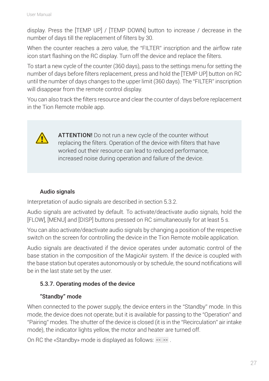display. Press the [TEMP UP] / [TEMP DOWN] button to increase / decrease in the number of days till the replacement of filters by 30.

When the counter reaches a zero value, the "FILTER" inscription and the airflow rate icon start flashing on the RC display. Turn off the device and replace the filters.

To start a new cycle of the counter (360 days), pass to the settings menu for setting the number of days before filters replacement, press and hold the [TEMP UP] button on RC until the number of days changes to the upper limit (360 days). The "FILTER" inscription will disappear from the remote control display.

You can also track the filters resource and clear the counter of days before replacement in the Tion Remote mobile app.



ATTENTION! Do not run a new cycle of the counter without replacing the filters. Operation of the device with filters that have worked out their resource can lead to reduced performance, increased noise during operation and failure of the device.

#### Audio signals

Interpretation of audio signals are described in section 5.3.2.

Audio signals are activated by default. To activate/deactivate audio signals, hold the [FLOW], [MENU] and [DISP] buttons pressed on RC simultaneously for at least 5 s.

You can also activate/deactivate audio signals by changing a position of the respective switch on the screen for controlling the device in the Tion Remote mobile application.

Audio signals are deactivated if the device operates under automatic control of the base station in the composition of the MagicAir system. If the device is coupled with the base station but operates autonomously or by schedule, the sound notifications will be in the last state set by the user.

#### 5.3.7. Operating modes of the device

#### "Standby" mode

When connected to the power supply, the device enters in the "Standby" mode. In this mode, the device does not operate, but it is available for passing to the "Operation" and "Pairing" modes. The shutter of the device is closed (it is in the "Recirculation" air intake mode), the indicator lights yellow, the motor and heater are turned off.

On RC the «Standby» mode is displayed as follows:  $55.11$ .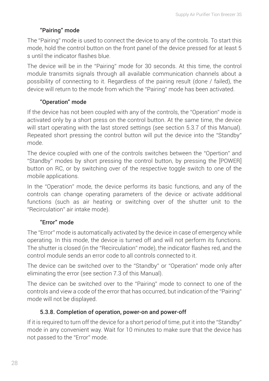#### "Pairing" mode

The "Pairing" mode is used to connect the device to any of the controls. To start this mode, hold the control button on the front panel of the device pressed for at least 5 s until the indicator flashes blue.

The device will be in the "Pairing" mode for 30 seconds. At this time, the control module transmits signals through all available communication channels about a possibility of connecting to it. Regardless of the pairing result (done / failed), the device will return to the mode from which the "Pairing" mode has been activated.

#### "Operation" mode

If the device has not been coupled with any of the controls, the "Operation" mode is activated only by a short press on the control button. At the same time, the device will start operating with the last stored settings (see section 5.3.7 of this Manual). Repeated short pressing the control button will put the device into the "Standby" mode.

The device coupled with one of the controls switches between the "Opertion" and "Standby" modes by short pressing the control button, by pressing the [POWER] button on RC, or by switching over of the respective toggle switch to one of the mobile applications.

In the "Operation" mode, the device performs its basic functions, and any of the controls can change operating parameters of the device or activate additional functions (such as air heating or switching over of the shutter unit to the "Recirculation" air intake mode).

#### "Error" mode

The "Error" mode is automatically activated by the device in case of emergency while operating. In this mode, the device is turned off and will not perform its functions. The shutter is closed (in the "Recirculation" mode), the indicator flashes red, and the control module sends an error code to all controls connected to it.

The device can be switched over to the "Standby" or "Operation" mode only after eliminating the error (see section 7.3 of this Manual).

The device can be switched over to the "Pairing" mode to connect to one of the controls and view a code of the error that has occurred, but indication of the "Pairing" mode will not be displayed.

#### 5.3.8. Completion of operation, power-on and power-off

If it is required to turn off the device for a short period of time, put it into the "Standby" mode in any convenient way. Wait for 10 minutes to make sure that the device has not passed to the "Error" mode.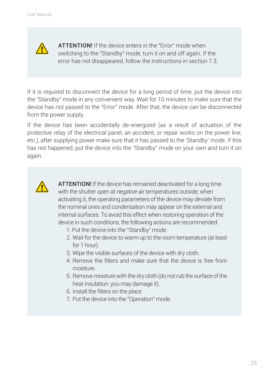

ATTENTION! If the device enters in the "Error" mode when switching to the "Standby" mode, turn it on and off again. If the error has not disappeared, follow the instructions in section 7.3.

If it is required to disconnect the device for a long period of time, put the device into the "Standby" mode in any convenient way. Wait for 10 minutes to make sure that the device has not passed to the "Error" mode. After that, the device can be disconnected from the power supply.

If the device has been accidentally de-energized (as a result of actuation of the protective relay of the electrical panel, an accident, or repair works on the power line, etc.), after supplying power make sure that it has passed to the 'Standby' mode. If this has not happened, put the device into the "Standby" mode on your own and turn it on again.



**ATTENTION!** If the device has remained deactivated for a long time with the shutter open at negative air temperatures outside, when activating it, the operating parameters of the device may deviate from the nominal ones and condensation may appear on the external and internal surfaces. To avoid this effect when restoring operation of the device in such conditions, the following actions are recommended:

- 1. Put the device into the "Standby" mode.
- 2. Wait for the device to warm up to the room temperature (at least for 1 hour).
- 3. Wipe the visible surfaces of the device with dry cloth.
- 4. Remove the filters and make sure that the device is free from moisture.
- 5. Remove moisture with the dry cloth (do not rub the surface of the heat insulation: you may damage it).
- 6. Install the filters on the place.
- 7. Put the device into the "Operation" mode.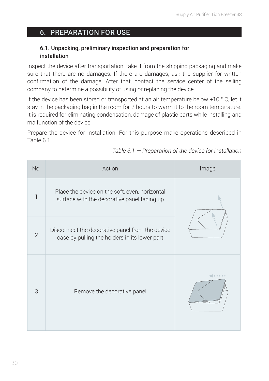## 6. PREPARATION FOR USE

#### 6.1. Unpacking, preliminary inspection and preparation for installation

Inspect the device after transportation: take it from the shipping packaging and make sure that there are no damages. If there are damages, ask the supplier for written confirmation of the damage. After that, contact the service center of the selling company to determine a possibility of using or replacing the device.

If the device has been stored or transported at an air temperature below +10 ° C, let it stay in the packaging bag in the room for 2 hours to warm it to the room temperature. It is required for eliminating condensation, damage of plastic parts while installing and malfunction of the device.

Prepare the device for installation. For this purpose make operations described in Table 6.1.

| No.            | Action                                                                                           | Image |  |
|----------------|--------------------------------------------------------------------------------------------------|-------|--|
|                | Place the device on the soft, even, horizontal<br>surface with the decorative panel facing up    |       |  |
| $\overline{2}$ | Disconnect the decorative panel from the device<br>case by pulling the holders in its lower part |       |  |
| 3              | Remove the decorative panel                                                                      |       |  |

*Table 6.1 — Preparation of the device for installation*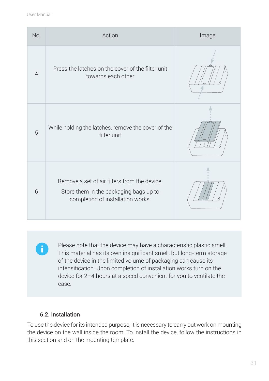| No.            | Action                                                                                                                      | Image |
|----------------|-----------------------------------------------------------------------------------------------------------------------------|-------|
| $\overline{4}$ | Press the latches on the cover of the filter unit<br>towards each other                                                     |       |
| 5              | While holding the latches, remove the cover of the<br>filter unit                                                           |       |
| 6              | Remove a set of air filters from the device.<br>Store them in the packaging bags up to<br>completion of installation works. |       |

Ŧ

Please note that the device may have a characteristic plastic smell. This material has its own insignificant smell, but long-term storage of the device in the limited volume of packaging can cause its intensification. Upon completion of installation works turn on the device for 2–4 hours at a speed convenient for you to ventilate the case.

#### 6.2. Installation

To use the device for its intended purpose, it is necessary to carry out work on mounting the device on the wall inside the room. To install the device, follow the instructions in this section and on the mounting template.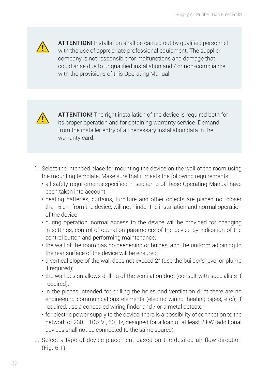

ATTENTION! Installation shall be carried out by qualified personnel with the use of appropriate professional equipment. The supplier company is not responsible for malfunctions and damage that could arise due to unqualified installation and / or non-compliance with the provisions of this Operating Manual.



ATTENTION! The right installation of the device is required both for its proper operation and for obtaining warranty service. Demand from the installer entry of all necessary installation data in the warranty card.

- 1. Select the intended place for mounting the device on the wall of the room using the mounting template. Make sure that it meets the following requirements:
	- all safety requirements specified in section 3 of these Operating Manual have been taken into account;
	- heating batteries, curtains, furniture and other objects are placed not closer than 5 cm from the device, will not hinder the installation and normal operation of the device
	- during operation, normal access to the device will be provided for changing in settings, control of operation parameters of the device by indication of the control button and performing maintenance;
	- the wall of the room has no deepening or bulges, and the uniform adjoining to the rear surface of the device will be ensured;
	- a vertical slope of the wall does not exceed 2° (use the builder's level or plumb if required);
	- the wall design allows drilling of the ventilation duct (consult with specialists if required);
	- in the places intended for drilling the holes and ventilation duct there are no engineering communications elements (electric wiring, heating pipes, etc.); if required, use a concealed wiring finder and / or a metal detector;
	- for electric power supply to the device, there is a possibility of connection to the network of 230 ± 10% V , 50 Hz, designed for a load of at least 2 kW (additional devices shall not be connected to the same source).
- 2. Select a type of device placement based on the desired air flow direction (Fig. 6.1).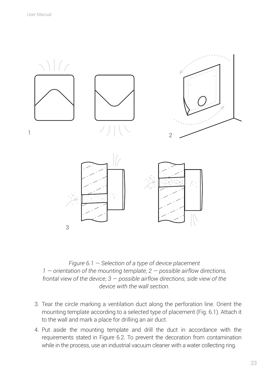

*Figure 6.1 — Selection of a type of device placement 1 — orientation of the mounting template; 2 — possible airflow directions, frontal view of the device; 3 — possible airflow directions, side view of the device with the wall section.*

- 3. Tear the circle marking a ventilation duct along the perforation line. Orient the mounting template according to a selected type of placement (Fig. 6.1). Attach it to the wall and mark a place for drilling an air duct.
- 4. Put aside the mounting template and drill the duct in accordance with the requirements stated in Figure 6.2. To prevent the decoration from contamination while in the process, use an industrial vacuum cleaner with a water collecting ring.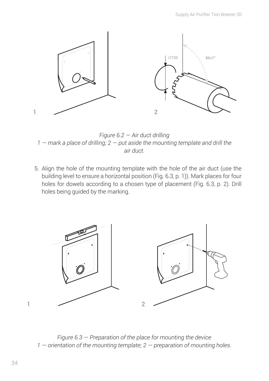

*Figure 6.2 — Air duct drilling 1 — mark a place of drilling; 2 — put aside the mounting template and drill the air duct.*

5. Align the hole of the mounting template with the hole of the air duct (use the building level to ensure a horizontal position (Fig. 6.3, p. 1)). Mark places for four holes for dowels according to a chosen type of placement (Fig. 6.3, p. 2). Drill holes being guided by the marking.



*Figure 6.3 — Preparation of the place for mounting the device 1 — orientation of the mounting template; 2 — preparation of mounting holes.*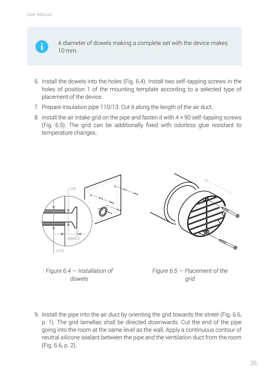

A diameter of dowels making a complete set with the device makes 10 mm.

- 6. Install the dowels into the holes (Fig. 6.4). Install two self-tapping screws in the holes of position 1 of the mounting template according to a selected type of placement of the device.
- 7. Prepare insulation pipe 110/13. Cut it along the length of the air duct.
- 8. Install the air intake grid on the pipe and fasten it with 4 × 90 self-tapping screws (Fig. 6.5). The grid can be additionally fixed with odorless glue resistant to temperature changes.



*Figure 6.4 — Installation of dowels*

*Figure 6.5 — Placement of the grid*

9. Install the pipe into the air duct by orienting the grid towards the street (Fig. 6.6, p. 1). The grid lamellas shall be directed downwards. Cut the end of the pipe going into the room at the same level as the wall. Apply a continuous contour of neutral silicone sealant between the pipe and the ventilation duct from the room (Fig. 6.6, p. 2).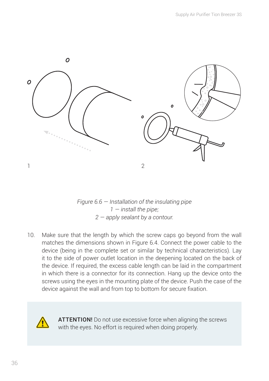

*Figure 6.6 — Installation of the insulating pipe 1 — install the pipe; 2 — apply sealant by a contour.*

10. Make sure that the length by which the screw caps go beyond from the wall matches the dimensions shown in Figure 6.4. Connect the power cable to the device (being in the complete set or similar by technical characteristics). Lay it to the side of power outlet location in the deepening located on the back of the device. If required, the excess cable length can be laid in the compartment in which there is a connector for its connection. Hang up the device onto the screws using the eyes in the mounting plate of the device. Push the case of the device against the wall and from top to bottom for secure fixation.



ATTENTION! Do not use excessive force when aligning the screws with the eyes. No effort is required when doing properly.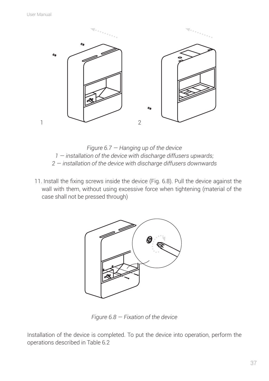

*Figure 6.7 — Hanging up of the device 1 — installation of the device with discharge diffusers upwards; 2 — installation of the device with discharge diffusers downwards*

11. Install the fixing screws inside the device (Fig. 6.8). Pull the device against the wall with them, without using excessive force when tightening (material of the case shall not be pressed through)



*Figure 6.8 — Fixation of the device* 

Installation of the device is completed. To put the device into operation, perform the operations described in Table 6.2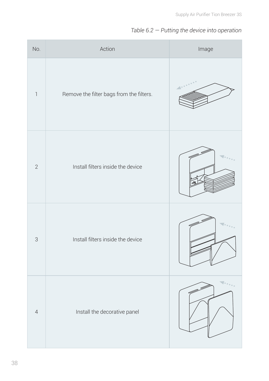#### *Table 6.2 — Putting the device into operation*

| No.                       | Action                                   | Image |
|---------------------------|------------------------------------------|-------|
| $\mathbb{I}$              | Remove the filter bags from the filters. |       |
| $\overline{2}$            | Install filters inside the device        |       |
| $\ensuremath{\mathsf{3}}$ | Install filters inside the device        |       |
| $\overline{4}$            | Install the decorative panel             |       |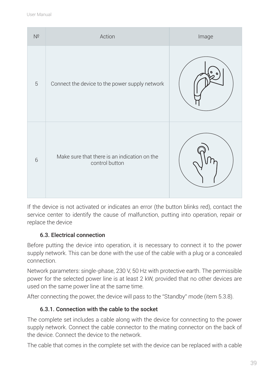| $N^{\Omega}$ | Action                                                         | Image |
|--------------|----------------------------------------------------------------|-------|
| $\sqrt{5}$   | Connect the device to the power supply network                 |       |
| 6            | Make sure that there is an indication on the<br>control button |       |

If the device is not activated or indicates an error (the button blinks red), contact the service center to identify the cause of malfunction, putting into operation, repair or replace the device

#### 6.3. Electrical connection

Before putting the device into operation, it is necessary to connect it to the power supply network. This can be done with the use of the cable with a plug or a concealed connection.

Network parameters: single-phase, 230 V, 50 Hz with protective earth. The permissible power for the selected power line is at least 2 kW, provided that no other devices are used on the same power line at the same time.

After connecting the power, the device will pass to the "Standby" mode (item 5.3.8).

#### 6.3.1. Connection with the cable to the socket

The complete set includes a cable along with the device for connecting to the power supply network. Connect the cable connector to the mating connector on the back of the device. Connect the device to the network.

The cable that comes in the complete set with the device can be replaced with a cable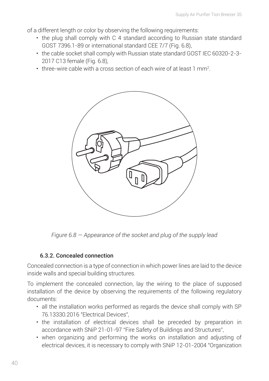of a different length or color by observing the following requirements:

- the plug shall comply with C 4 standard according to Russian state standard GOST 7396.1-89 or international standard CFF 7/7 (Fig. 6.8),
- the cable socket shall comply with Russian state standard GOST IEC 60320-2-3- 2017 C13 female (Fig. 6.8),
- three-wire cable with a cross section of each wire of at least 1 mm².



*Figure 6.8 — Appearance of the socket and plug of the supply lead*

#### 6.3.2. Concealed connection

Concealed connection is a type of connection in which power lines are laid to the device inside walls and special building structures.

To implement the concealed connection, lay the wiring to the place of supposed installation of the device by observing the requirements of the following regulatory documents:

- all the installation works performed as regards the device shall comply with SP 76.13330.2016 "Electrical Devices",
- the installation of electrical devices shall be preceded by preparation in accordance with SNiP 21-01-97 "Fire Safety of Buildings and Structures",
- when organizing and performing the works on installation and adjusting of electrical devices, it is necessary to comply with SNiP 12-01-2004 "Organization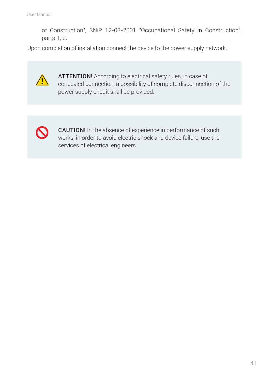of Construction", SNiP 12-03-2001 "Occupational Safety in Construction", parts 1, 2.

Upon completion of installation connect the device to the power supply network.



ATTENTION! According to electrical safety rules, in case of concealed connection, a possibility of complete disconnection of the power supply circuit shall be provided.



CAUTION! In the absence of experience in performance of such works, in order to avoid electric shock and device failure, use the services of electrical engineers.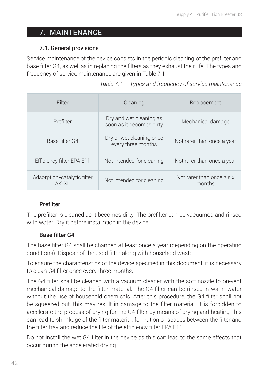## 7. MAINTENANCE

#### 7.1. General provisions

Service maintenance of the device consists in the periodic cleaning of the prefilter and base filter G4, as well as in replacing the filters as they exhaust their life. The types and frequency of service maintenance are given in Table 7.1.

| Filter                               | Cleaning                                            | Replacement                         |
|--------------------------------------|-----------------------------------------------------|-------------------------------------|
| Prefilter                            | Dry and wet cleaning as<br>soon as it becomes dirty | Mechanical damage                   |
| Base filter G4                       | Dry or wet cleaning once<br>every three months      | Not rarer than once a year          |
| Efficiency filter EPA E11            | Not intended for cleaning                           | Not rarer than once a year          |
| Adsorption-catalytic filter<br>AK-XI | Not intended for cleaning                           | Not rarer than once a six<br>months |

|  |  |  |  | Table $7.1 -$ Types and frequency of service maintenance |
|--|--|--|--|----------------------------------------------------------|
|--|--|--|--|----------------------------------------------------------|

#### Prefilter

The prefilter is cleaned as it becomes dirty. The prefilter can be vacuumed and rinsed with water. Dry it before installation in the device.

#### Base filter G4

The base filter G4 shall be changed at least once a year (depending on the operating conditions). Dispose of the used filter along with household waste.

To ensure the characteristics of the device specified in this document, it is necessary to clean G4 filter once every three months.

The G4 filter shall be cleaned with a vacuum cleaner with the soft nozzle to prevent mechanical damage to the filter material. The G4 filter can be rinsed in warm water without the use of household chemicals. After this procedure, the G4 filter shall not be squeezed out, this may result in damage to the filter material. It is forbidden to accelerate the process of drying for the G4 filter by means of drying and heating, this can lead to shrinkage of the filter material, formation of spaces between the filter and the filter tray and reduce the life of the efficiency filter EPA Е11.

Do not install the wet G4 filter in the device as this can lead to the same effects that occur during the accelerated drying.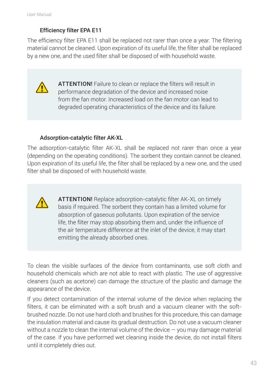#### Efficiency filter EPA Е11

The efficiency filter EPA Е11 shall be replaced not rarer than once a year. The filtering material cannot be cleaned. Upon expiration of its useful life, the filter shall be replaced by a new one, and the used filter shall be disposed of with household waste.



ATTENTION! Failure to clean or replace the filters will result in performance degradation of the device and increased noise from the fan motor. Increased load on the fan motor can lead to degraded operating characteristics of the device and its failure.

#### Adsorption-catalytic filter АК-XL

The adsorption-catalytic filter АК-XL shall be replaced not rarer than once a year (depending on the operating conditions). The sorbent they contain cannot be cleaned. Upon expiration of its useful life, the filter shall be replaced by a new one, and the used filter shall be disposed of with household waste.



ATTENTION! Replace adsorption-catalytic filter АК-XL on timely basis if required. The sorbent they contain has a limited volume for absorption of gaseous pollutants. Upon expiration of the service life, the filter may stop absorbing them and, under the influence of the air temperature difference at the inlet of the device, it may start emitting the already absorbed ones.

To clean the visible surfaces of the device from contaminants, use soft cloth and household chemicals which are not able to react with plastic. The use of aggressive cleaners (such as acetone) can damage the structure of the plastic and damage the appearance of the device.

If you detect contamination of the internal volume of the device when replacing the filters, it can be eliminated with a soft brush and a vacuum cleaner with the softbrushed nozzle. Do not use hard cloth and brushes for this procedure, this can damage the insulation material and cause its gradual destruction. Do not use a vacuum cleaner without a nozzle to clean the internal volume of the device — you may damage material of the case. If you have performed wet cleaning inside the device, do not install filters until it completely dries out.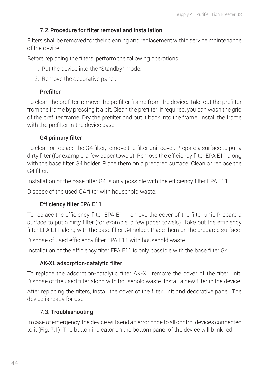#### 7.2.Procedure for filter removal and installation

Filters shall be removed for their cleaning and replacement within service maintenance of the device.

Before replacing the filters, perform the following operations:

- 1. Put the device into the "Standby" mode.
- 2. Remove the decorative panel.

#### **Prefilter**

To clean the prefilter, remove the prefilter frame from the device. Take out the prefilter from the frame by pressing it a bit. Clean the prefilter; if required, you can wash the grid of the prefilter frame. Dry the prefilter and put it back into the frame. Install the frame with the prefilter in the device case.

#### G4 primary filter

To clean or replace the G4 filter, remove the filter unit cover. Prepare a surface to put a dirty filter (for example, a few paper towels). Remove the efficiency filter EPA Е11 along with the base filter G4 holder. Place them on a prepared surface. Clean or replace the G4 filter.

Installation of the base filter G4 is only possible with the efficiency filter EPA Е11.

Dispose of the used G4 filter with household waste.

#### Efficiency filter EPA Е11

To replace the efficiency filter EPA Е11, remove the cover of the filter unit. Prepare a surface to put a dirty filter (for example, a few paper towels). Take out the efficiency filter EPA E11 along with the base filter G4 holder. Place them on the prepared surface.

Dispose of used efficiency filter EPA Е11 with household waste.

Installation of the efficiency filter EPA Е11 is only possible with the base filter G4.

#### AK-XL adsorption-catalytic filter

To replace the adsorption-catalytic filter АК-XL remove the cover of the filter unit. Dispose of the used filter along with household waste. Install a new filter in the device.

After replacing the filters, install the cover of the filter unit and decorative panel. The device is ready for use.

#### 7.3. Troubleshooting

In case of emergency, the device will send an error code to all control devices connected to it (Fig. 7.1). The button indicator on the bottom panel of the device will blink red.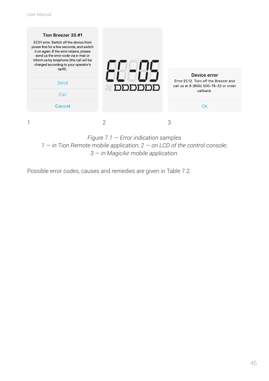

*Figure 7.1 — Error indication samples 1 — in Tion Remote mobile application; 2 — on LCD of the control console; 3 — in MagicAir mobile application.*

Possible error codes, causes and remedies are given in Table 7.2.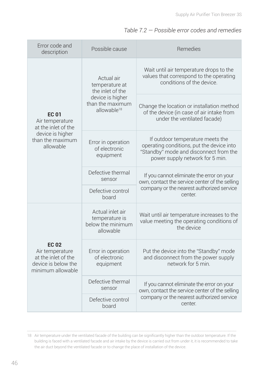| Error code and<br>description                                                                      | Possible cause                                                       | Remedies                                                                                                                                                   |  |
|----------------------------------------------------------------------------------------------------|----------------------------------------------------------------------|------------------------------------------------------------------------------------------------------------------------------------------------------------|--|
|                                                                                                    | Actual air<br>temperature at<br>the inlet of the                     | Wait until air temperature drops to the<br>values that correspond to the operating<br>conditions of the device.                                            |  |
| <b>EC 01</b><br>Air temperature<br>at the inlet of the                                             | device is higher<br>than the maximum<br>allowable <sup>18</sup>      | Change the location or installation method<br>of the device (in case of air intake from<br>under the ventilated facade)                                    |  |
| device is higher<br>than the maximum<br>allowable                                                  | Error in operation<br>of electronic<br>equipment                     | If outdoor temperature meets the<br>operating conditions, put the device into<br>"Standby" mode and disconnect from the<br>power supply network for 5 min. |  |
|                                                                                                    | Defective thermal<br>sensor                                          | If you cannot eliminate the error on your<br>own, contact the service center of the selling                                                                |  |
|                                                                                                    | Defective control<br>board                                           | company or the nearest authorized service<br>center.                                                                                                       |  |
|                                                                                                    | Actual inlet air<br>temperature is<br>below the minimum<br>allowable | Wait until air temperature increases to the<br>value meeting the operating conditions of<br>the device                                                     |  |
| <b>EC 02</b><br>Air temperature<br>at the inlet of the<br>device is below the<br>minimum allowable | Error in operation<br>of electronic<br>equipment                     | Put the device into the "Standby" mode<br>and disconnect from the power supply<br>network for 5 min.                                                       |  |
|                                                                                                    | Defective thermal<br>sensor                                          | If you cannot eliminate the error on your<br>own, contact the service center of the selling                                                                |  |
|                                                                                                    | Defective control<br>hoard                                           | company or the nearest authorized service<br>center.                                                                                                       |  |

<sup>18</sup> Air temperature under the ventilated facade of the building can be significantly higher than the outdoor temperature. If the building is faced with a ventilated facade and air intake by the device is carried out from under it, it is recommended to take the air duct beyond the ventilated facade or to change the place of installation of the device.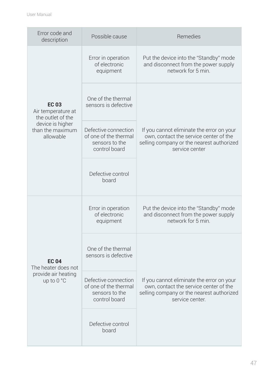| Error code and<br>description                           | Possible cause                                                                   | Remedies                                                                                                                                            |  |
|---------------------------------------------------------|----------------------------------------------------------------------------------|-----------------------------------------------------------------------------------------------------------------------------------------------------|--|
|                                                         | Error in operation<br>of electronic<br>equipment                                 | Put the device into the "Standby" mode<br>and disconnect from the power supply<br>network for 5 min.                                                |  |
| <b>EC 03</b><br>Air temperature at<br>the outlet of the | One of the thermal<br>sensors is defective                                       |                                                                                                                                                     |  |
| device is higher<br>than the maximum<br>allowable       | Defective connection<br>of one of the thermal<br>sensors to the<br>control board | If you cannot eliminate the error on your<br>own, contact the service center of the<br>selling company or the nearest authorized<br>service center  |  |
|                                                         | Defective control<br>board                                                       |                                                                                                                                                     |  |
|                                                         | Error in operation<br>of electronic<br>equipment                                 | Put the device into the "Standby" mode<br>and disconnect from the power supply<br>network for 5 min.                                                |  |
| <b>EC 04</b><br>The heater does not                     | One of the thermal<br>sensors is defective                                       |                                                                                                                                                     |  |
| provide air heating<br>up to 0 °C                       | Defective connection<br>of one of the thermal<br>sensors to the<br>control board | If you cannot eliminate the error on your<br>own, contact the service center of the<br>selling company or the nearest authorized<br>service center. |  |
|                                                         | Defective control<br>board                                                       |                                                                                                                                                     |  |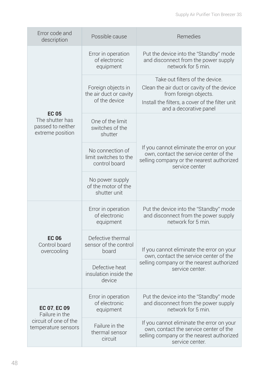| Error code and<br>description                            | Possible cause                                                | Remedies                                                                                                                                                                            |  |
|----------------------------------------------------------|---------------------------------------------------------------|-------------------------------------------------------------------------------------------------------------------------------------------------------------------------------------|--|
|                                                          | Error in operation<br>of electronic<br>equipment              | Put the device into the "Standby" mode<br>and disconnect from the power supply<br>network for 5 min.                                                                                |  |
| <b>EC 05</b>                                             | Foreign objects in<br>the air duct or cavity<br>of the device | Take out filters of the device.<br>Clean the air duct or cavity of the device<br>from foreign objects.<br>Install the filters, a cover of the filter unit<br>and a decorative panel |  |
| The shutter has<br>passed to neither<br>extreme position | One of the limit<br>switches of the<br>shutter                |                                                                                                                                                                                     |  |
|                                                          | No connection of<br>limit switches to the<br>control board    | If you cannot eliminate the error on your<br>own, contact the service center of the<br>selling company or the nearest authorized<br>service center                                  |  |
|                                                          | No power supply<br>of the motor of the<br>shutter unit        |                                                                                                                                                                                     |  |
|                                                          | Error in operation<br>of electronic<br>equipment              | Put the device into the "Standby" mode<br>and disconnect from the power supply<br>network for 5 min.                                                                                |  |
| <b>EC 06</b><br>Control board<br>overcooling             | Defective thermal<br>sensor of the control<br>board           | If you cannot eliminate the error on your<br>own, contact the service center of the                                                                                                 |  |
|                                                          | Defective heat<br>insulation inside the<br>device             | selling company or the nearest authorized<br>service center.                                                                                                                        |  |
| EC 07, EC 09<br>Failure in the                           | Error in operation<br>of electronic<br>equipment              | Put the device into the "Standby" mode<br>and disconnect from the power supply<br>network for 5 min.                                                                                |  |
| circuit of one of the<br>temperature sensors             | Failure in the<br>thermal sensor<br>circuit                   | If you cannot eliminate the error on your<br>own, contact the service center of the<br>selling company or the nearest authorized<br>service center.                                 |  |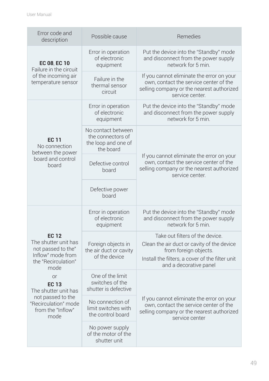| Error code and<br>description                                                                                  | Possible cause                                                              | Remedies                                                                                                                                                                            |  |
|----------------------------------------------------------------------------------------------------------------|-----------------------------------------------------------------------------|-------------------------------------------------------------------------------------------------------------------------------------------------------------------------------------|--|
| EC 08, EC 10<br>Failure in the circuit                                                                         | Error in operation<br>of electronic<br>equipment                            | Put the device into the "Standby" mode<br>and disconnect from the power supply<br>network for 5 min.                                                                                |  |
| of the incoming air<br>temperature sensor                                                                      | Failure in the<br>thermal sensor<br>circuit                                 | If you cannot eliminate the error on your<br>own, contact the service center of the<br>selling company or the nearest authorized<br>service center.                                 |  |
|                                                                                                                | Error in operation<br>of electronic<br>equipment                            | Put the device into the "Standby" mode<br>and disconnect from the power supply<br>network for 5 min.                                                                                |  |
| <b>EC 11</b><br>No connection<br>between the power                                                             | No contact between<br>the connectors of<br>the loop and one of<br>the board |                                                                                                                                                                                     |  |
| board and control<br>hoard                                                                                     | Defective control<br>board                                                  | If you cannot eliminate the error on your<br>own, contact the service center of the<br>selling company or the nearest authorized<br>service center.                                 |  |
|                                                                                                                | Defective power<br>hoard                                                    |                                                                                                                                                                                     |  |
|                                                                                                                | Error in operation<br>of electronic<br>equipment                            | Put the device into the "Standby" mode<br>and disconnect from the power supply<br>network for 5 min.                                                                                |  |
| <b>EC 12</b><br>The shutter unit has<br>not passed to the"<br>Inflow" mode from<br>the "Recirculation"<br>mode | Foreign objects in<br>the air duct or cavity<br>of the device               | Take out filters of the device.<br>Clean the air duct or cavity of the device<br>from foreign objects.<br>Install the filters, a cover of the filter unit<br>and a decorative panel |  |
| <b>or</b><br><b>EC 13</b><br>The shutter unit has                                                              | One of the limit<br>switches of the<br>shutter is defective                 |                                                                                                                                                                                     |  |
| not passed to the<br>"Recirculation" mode<br>from the "Inflow"<br>mode                                         | No connection of<br>limit switches with<br>the control board                | If you cannot eliminate the error on your<br>own, contact the service center of the<br>selling company or the nearest authorized<br>service center                                  |  |
|                                                                                                                | No power supply<br>of the motor of the<br>shutter unit                      |                                                                                                                                                                                     |  |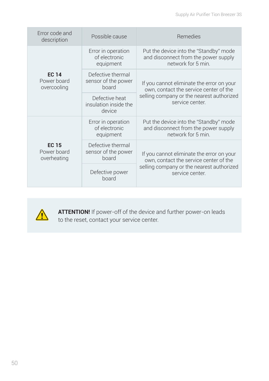| Error code and<br>description              | Possible cause                                    | Remedies                                                                                             |  |
|--------------------------------------------|---------------------------------------------------|------------------------------------------------------------------------------------------------------|--|
|                                            | Error in operation<br>of electronic<br>equipment  | Put the device into the "Standby" mode<br>and disconnect from the power supply<br>network for 5 min. |  |
| <b>EC 14</b><br>Power board<br>overcooling | Defective thermal<br>sensor of the power<br>board | If you cannot eliminate the error on your<br>own, contact the service center of the                  |  |
|                                            | Defective heat<br>insulation inside the<br>device | selling company or the nearest authorized<br>service center.                                         |  |
|                                            | Error in operation<br>of electronic<br>equipment  | Put the device into the "Standby" mode<br>and disconnect from the power supply<br>network for 5 min. |  |
| <b>EC 15</b><br>Power board<br>overheating | Defective thermal<br>sensor of the power<br>board | If you cannot eliminate the error on your<br>own, contact the service center of the                  |  |
|                                            | Defective power<br>board                          | selling company or the nearest authorized<br>service center.                                         |  |



**ATTENTION!** If power-off of the device and further power-on leads to the reset, contact your service center.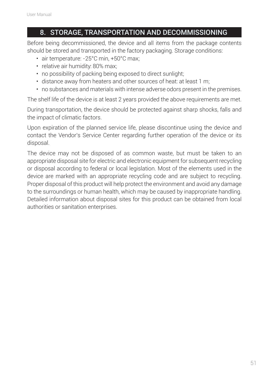## 8. STORAGE, TRANSPORTATION AND DECOMMISSIONING

Before being decommissioned, the device and all items from the package contents should be stored and transported in the factory packaging. Storage conditions:

- air temperature: -25°С min, +50°С max;
- relative air humidity: 80% max;
- no possibility of packing being exposed to direct sunlight;
- distance away from heaters and other sources of heat: at least 1 m;
- no substances and materials with intense adverse odors present in the premises.

The shelf life of the device is at least 2 years provided the above requirements are met.

During transportation, the device should be protected against sharp shocks, falls and the impact of climatic factors.

Upon expiration of the planned service life, please discontinue using the device and contact the Vendor's Service Center regarding further operation of the device or its disposal.

The device may not be disposed of as common waste, but must be taken to an appropriate disposal site for electric and electronic equipment for subsequent recycling or disposal according to federal or local legislation. Most of the elements used in the device are marked with an appropriate recycling code and are subject to recycling. Proper disposal of this product will help protect the environment and avoid any damage to the surroundings or human health, which may be caused by inappropriate handling. Detailed information about disposal sites for this product can be obtained from local authorities or sanitation enterprises.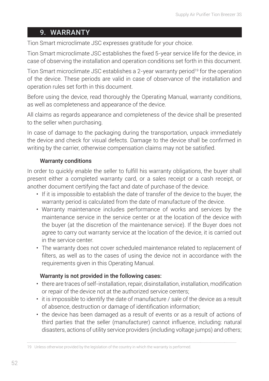## 9. WARRANTY

Tion Smart microclimate JSC expresses gratitude for your choice.

Tion Smart microclimate JSC establishes the fixed 5-year service life for the device, in case of observing the installation and operation conditions set forth in this document.

Tion Smart microclimate JSC establishes a 2-year warranty period<sup>19</sup> for the operation of the device. These periods are valid in case of observance of the installation and operation rules set forth in this document.

Before using the device, read thoroughly the Operating Manual, warranty conditions, as well as completeness and appearance of the device.

All claims as regards appearance and completeness of the device shall be presented to the seller when purchasing.

In case of damage to the packaging during the transportation, unpack immediately the device and check for visual defects. Damage to the device shall be confirmed in writing by the carrier, otherwise compensation claims may not be satisfied.

#### Warranty conditions

In order to quickly enable the seller to fulfill his warranty obligations, the buyer shall present either a completed warranty card, or a sales receipt or a cash receipt, or another document certifying the fact and date of purchase of the device.

- If it is impossible to establish the date of transfer of the device to the buyer, the warranty period is calculated from the date of manufacture of the device.
- Warranty maintenance includes performance of works and services by the maintenance service in the service center or at the location of the device with the buyer (at the discretion of the maintenance service). If the Buyer does not agree to carry out warranty service at the location of the device, it is carried out in the service center.
- The warranty does not cover scheduled maintenance related to replacement of filters, as well as to the cases of using the device not in accordance with the requirements given in this Operating Manual.

#### Warranty is not provided in the following cases:

- there are traces of self-installation, repair, disinstallation, installation, modification or repair of the device not at the authorized service centers;
- it is impossible to identify the date of manufacture / sale of the device as a result of absence, destruction or damage of identification information;
- the device has been damaged as a result of events or as a result of actions of third parties that the seller (manufacturer) cannot influence, including: natural disasters, actions of utility service providers (including voltage jumps) and others;

<sup>19</sup> Unless otherwise provided by the legislation of the country in which the warranty is performed.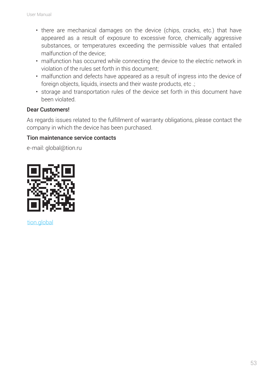- there are mechanical damages on the device (chips, cracks, etc.) that have appeared as a result of exposure to excessive force, chemically aggressive substances, or temperatures exceeding the permissible values that entailed malfunction of the device;
- malfunction has occurred while connecting the device to the electric network in violation of the rules set forth in this document;
- malfunction and defects have appeared as a result of ingress into the device of foreign objects, liquids, insects and their waste products, etc.:
- storage and transportation rules of the device set forth in this document have been violated.

#### Dear Customers!

As regards issues related to the fulfillment of warranty obligations, please contact the company in which the device has been purchased.

#### Tion maintenance service contacts

e-mail: global@tion.ru



tion.global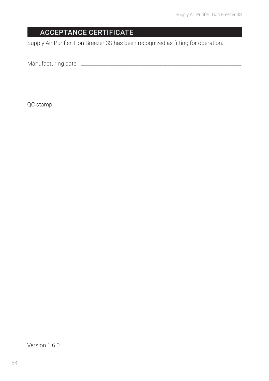## ACCEPTANCE CERTIFICATE

Supply Air Purifier Tion Breezer 3S has been recognized as fitting for operation.

Manufacturing date \_\_\_\_\_\_\_\_\_\_\_\_\_\_\_\_\_\_\_\_\_\_\_\_\_\_\_\_\_\_\_\_\_\_\_\_\_\_\_\_\_\_\_\_\_\_\_\_\_\_\_\_\_\_\_\_\_\_\_\_\_\_\_\_\_

QC stamp

Version 1.6.0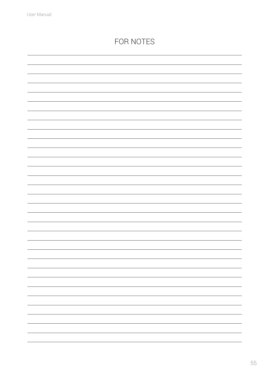## FOR NOTES